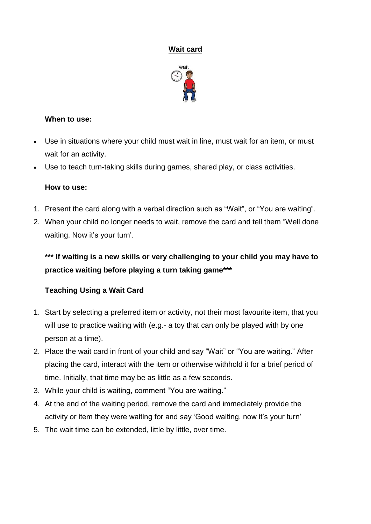# **Wait card**



#### **When to use:**

- Use in situations where your child must wait in line, must wait for an item, or must wait for an activity.
- Use to teach turn-taking skills during games, shared play, or class activities.

## **How to use:**

- 1. Present the card along with a verbal direction such as "Wait", or "You are waiting".
- 2. When your child no longer needs to wait, remove the card and tell them "Well done waiting. Now it's your turn'.

**\*\*\* If waiting is a new skills or very challenging to your child you may have to practice waiting before playing a turn taking game\*\*\***

# **Teaching Using a Wait Card**

- 1. Start by selecting a preferred item or activity, not their most favourite item, that you will use to practice waiting with (e.g.- a toy that can only be played with by one person at a time).
- 2. Place the wait card in front of your child and say "Wait" or "You are waiting." After placing the card, interact with the item or otherwise withhold it for a brief period of time. Initially, that time may be as little as a few seconds.
- 3. While your child is waiting, comment "You are waiting."
- 4. At the end of the waiting period, remove the card and immediately provide the activity or item they were waiting for and say 'Good waiting, now it's your turn'
- 5. The wait time can be extended, little by little, over time.